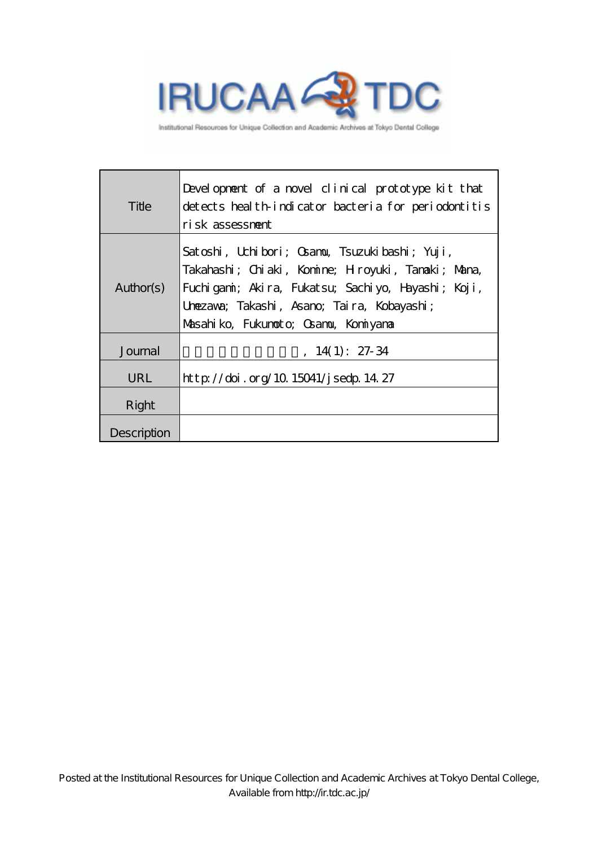

Institutional Resources for Unique Collection and Academic Archives at Tokyo Dental College

| Title       | Development of a novel clinical prototype kit that<br>detects health indicator bacteria for periodontitis<br>risk assessment                                                                                                                   |
|-------------|------------------------------------------------------------------------------------------------------------------------------------------------------------------------------------------------------------------------------------------------|
| Author(s)   | Satoshi, Uchibori; Osanou, Tsuzukibashi; Yuji,<br>Takahashi; Chiaki, Komine; Hroyuki, Tanaki; Mana,<br>Fuchigani; Akira, Fukatsu; Sachiyo, Hayashi; Koji,<br>Unezava; Takashi, Asano; Taira, Kobayashi;<br>Masahiko, Fukunoto, Gramu, Koniyana |
| Journal     | $14(1): 27-34$                                                                                                                                                                                                                                 |
| URL         | http://doi.org/10.15041/jsedp.14.27                                                                                                                                                                                                            |
| Right       |                                                                                                                                                                                                                                                |
| Description |                                                                                                                                                                                                                                                |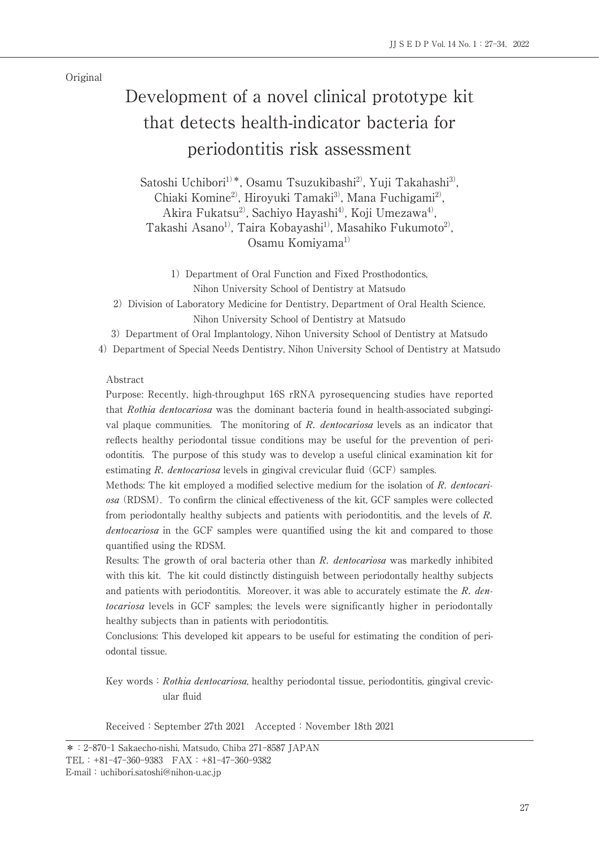Original

# Development of a novel clinical prototype kit that detects health-indicator bacteria for periodontitis risk assessment

Satoshi Uchibori<sup>1)\*</sup>, Osamu Tsuzukibashi<sup>2)</sup>, Yuji Takahashi<sup>3)</sup>, Chiaki Komine<sup>2)</sup>, Hiroyuki Tamaki<sup>3)</sup>, Mana Fuchigami<sup>2)</sup>, Akira Fukatsu<sup>2)</sup>, Sachiyo Hayashi<sup>4)</sup>, Koji Umezawa<sup>4)</sup>, Takashi Asano<sup>1)</sup>, Taira Kobayashi<sup>1)</sup>, Masahiko Fukumoto<sup>2)</sup>. Osamu Komiyama<sup>1)</sup>

1) Department of Oral Function and Fixed Prosthodontics, Nihon University School of Dentistry at Matsudo

2) Division of Laboratory Medicine for Dentistry, Department of Oral Health Science, Nihon University School of Dentistry at Matsudo

3) Department of Oral Implantology, Nihon University School of Dentistry at Matsudo

4) Department of Special Needs Dentistry, Nihon University School of Dentistry at Matsudo

### Abstract

Purpose: Recently, high-throughput 16S rRNA pyrosequencing studies have reported that Rothia dentocariosa was the dominant bacteria found in health-associated subgingival plaque communities. The monitoring of R. dentocariosa levels as an indicator that reflects healthy periodontal tissue conditions may be useful for the prevention of periodontitis. The purpose of this study was to develop a useful clinical examination kit for estimating R. dentocariosa levels in gingival crevicular fluid (GCF) samples.

Methods: The kit employed a modified selective medium for the isolation of R. dentocariosa (RDSM). To confirm the clinical effectiveness of the kit, GCF samples were collected from periodontally healthy subjects and patients with periodontitis, and the levels of R. dentocariosa in the GCF samples were quantified using the kit and compared to those quantified using the RDSM.

Results: The growth of oral bacteria other than R. dentocariosa was markedly inhibited with this kit. The kit could distinctly distinguish between periodontally healthy subjects and patients with periodontitis. Moreover, it was able to accurately estimate the  $R$ . dentocariosa levels in GCF samples; the levels were significantly higher in periodontally healthy subjects than in patients with periodontitis.

Conclusions: This developed kit appears to be useful for estimating the condition of periodontal tissue.

Key words: Rothia dentocariosa, healthy periodontal tissue, periodontitis, gingival crevicular fluid

Received: September 27th 2021 Accepted: November 18th 2021

<sup>\*:2-870-1</sup> Sakaecho-nishi, Matsudo, Chiba 271-8587 JAPAN TEL:+81-47-360-9383 FAX:+81-47-360-9382 E-mail:uchibori.satoshi@nihon-u.ac.jp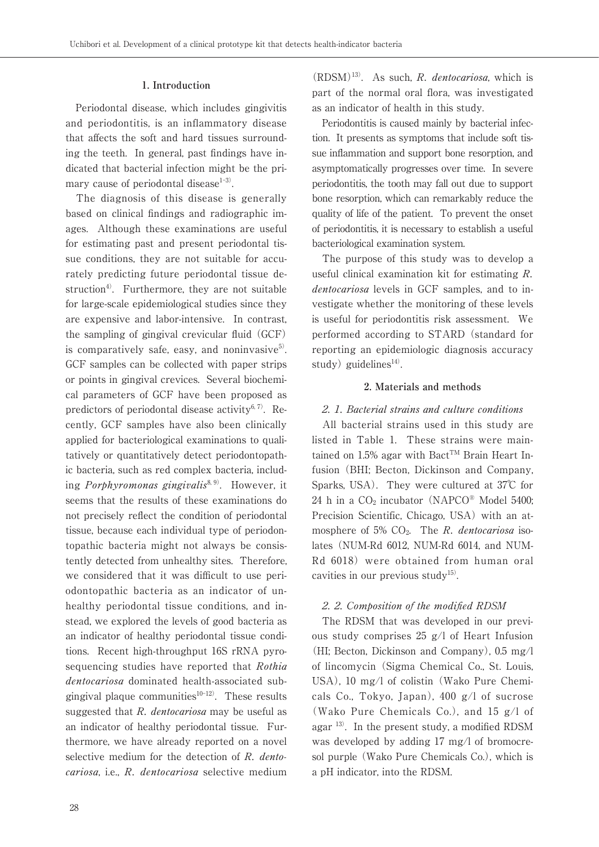### **1. Introduction**

 Periodontal disease, which includes gingivitis and periodontitis, is an inflammatory disease that affects the soft and hard tissues surrounding the teeth. In general, past findings have indicated that bacterial infection might be the primary cause of periodontal disease $1-3$ .

 The diagnosis of this disease is generally based on clinical findings and radiographic images. Although these examinations are useful for estimating past and present periodontal tissue conditions, they are not suitable for accurately predicting future periodontal tissue destruction<sup>4)</sup>. Furthermore, they are not suitable for large-scale epidemiological studies since they are expensive and labor-intensive. In contrast, the sampling of gingival crevicular fluid (GCF) is comparatively safe, easy, and noninvasive $5$ . GCF samples can be collected with paper strips or points in gingival crevices. Several biochemical parameters of GCF have been proposed as predictors of periodontal disease activity $6, 7$ . Recently, GCF samples have also been clinically applied for bacteriological examinations to qualitatively or quantitatively detect periodontopathic bacteria, such as red complex bacteria, including *Porphyromonas gingivalis*<sup>8, 9)</sup>. However, it seems that the results of these examinations do not precisely reflect the condition of periodontal tissue, because each individual type of periodontopathic bacteria might not always be consistently detected from unhealthy sites. Therefore, we considered that it was difficult to use periodontopathic bacteria as an indicator of unhealthy periodontal tissue conditions, and instead, we explored the levels of good bacteria as an indicator of healthy periodontal tissue conditions. Recent high-throughput 16S rRNA pyrosequencing studies have reported that Rothia dentocariosa dominated health-associated subgingival plaque communities $10-12$ ). These results suggested that  $R$ . *dentocariosa* may be useful as an indicator of healthy periodontal tissue. Furthermore, we have already reported on a novel selective medium for the detection of R. dentocariosa, i.e., R. dentocariosa selective medium

 $(RDSM)^{13}$ . As such, R. dentocariosa, which is part of the normal oral flora, was investigated as an indicator of health in this study.

 Periodontitis is caused mainly by bacterial infection. It presents as symptoms that include soft tissue inflammation and support bone resorption, and asymptomatically progresses over time. In severe periodontitis, the tooth may fall out due to support bone resorption, which can remarkably reduce the quality of life of the patient. To prevent the onset of periodontitis, it is necessary to establish a useful bacteriological examination system.

 The purpose of this study was to develop a useful clinical examination kit for estimating R. dentocariosa levels in GCF samples, and to investigate whether the monitoring of these levels is useful for periodontitis risk assessment. We performed according to STARD (standard for reporting an epidemiologic diagnosis accuracy study) guidelines $^{14)}$ .

### **2. Materials and methods**

### 2. 1. Bacterial strains and culture conditions

 All bacterial strains used in this study are listed in Table 1. These strains were maintained on 1.5% agar with Bact<sup>TM</sup> Brain Heart Infusion (BHI; Becton, Dickinson and Company, Sparks, USA). They were cultured at  $37^{\circ}$  for 24 h in a  $CO<sub>2</sub>$  incubator (NAPCO® Model 5400; Precision Scientific, Chicago, USA) with an atmosphere of 5%  $CO<sub>2</sub>$ . The R. dentocariosa isolates (NUM-Rd 6012, NUM-Rd 6014, and NUM-Rd 6018) were obtained from human oral cavities in our previous study<sup>15)</sup>.

### 2. 2. Composition of the modified RDSM

 The RDSM that was developed in our previous study comprises 25 g/l of Heart Infusion (HI; Becton, Dickinson and Company), 0.5 mg/l of lincomycin (Sigma Chemical Co., St. Louis, USA), 10 mg/l of colistin (Wako Pure Chemicals Co., Tokyo, Japan), 400 g/l of sucrose (Wako Pure Chemicals Co.), and 15 g/l of agar 13). In the present study, a modified RDSM was developed by adding 17 mg/l of bromocresol purple (Wako Pure Chemicals Co.), which is a pH indicator, into the RDSM.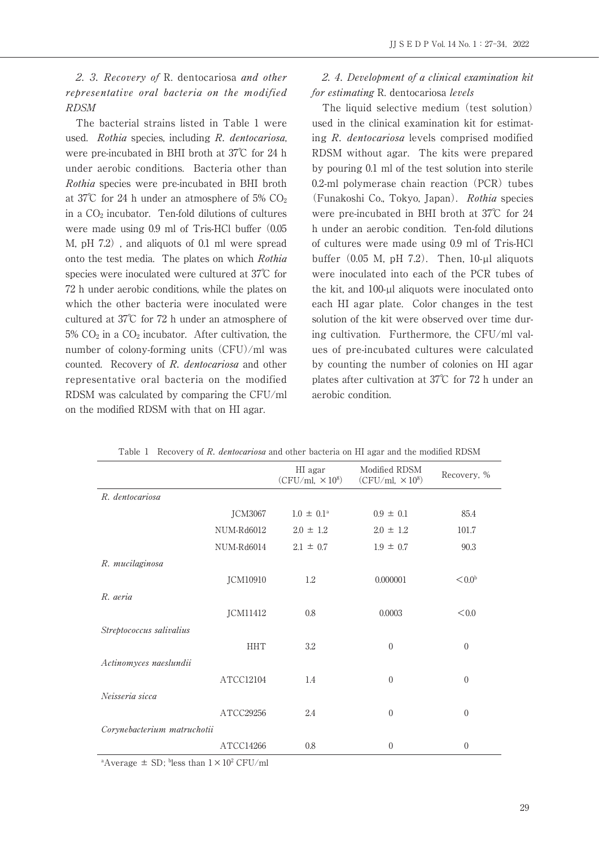2. 3. Recovery of R. dentocariosa and other representative oral bacteria on the modified RDSM

 The bacterial strains listed in Table 1 were used. Rothia species, including R. dentocariosa, were pre-incubated in BHI broth at 37℃ for 24 h under aerobic conditions. Bacteria other than Rothia species were pre-incubated in BHI broth at 37℃ for 24 h under an atmosphere of 5% CO2 in a CO2 incubator. Ten-fold dilutions of cultures were made using 0.9 ml of Tris-HCl buffer (0.05 M, pH 7.2), and aliquots of 0.1 ml were spread onto the test media. The plates on which Rothia species were inoculated were cultured at 37℃ for 72 h under aerobic conditions, while the plates on which the other bacteria were inoculated were cultured at 37℃ for 72 h under an atmosphere of  $5\%$  CO<sub>2</sub> in a CO<sub>2</sub> incubator. After cultivation, the number of colony-forming units (CFU)/ml was counted. Recovery of R. dentocariosa and other representative oral bacteria on the modified RDSM was calculated by comparing the CFU/ml on the modified RDSM with that on HI agar.

## 2. 4. Development of a clinical examination kit for estimating R. dentocariosa levels

 The liquid selective medium (test solution) used in the clinical examination kit for estimating R. dentocariosa levels comprised modified RDSM without agar. The kits were prepared by pouring 0.1 ml of the test solution into sterile 0.2-ml polymerase chain reaction (PCR) tubes (Funakoshi Co., Tokyo, Japan). Rothia species were pre-incubated in BHI broth at 37℃ for 24 h under an aerobic condition. Ten-fold dilutions of cultures were made using 0.9 ml of Tris-HCl buffer  $(0.05 \text{ M}, \text{pH } 7.2)$ . Then,  $10$ - $\mu$ l aliquots were inoculated into each of the PCR tubes of the kit, and 100-µl aliquots were inoculated onto each HI agar plate. Color changes in the test solution of the kit were observed over time during cultivation. Furthermore, the CFU/ml values of pre-incubated cultures were calculated by counting the number of colonies on HI agar plates after cultivation at 37℃ for 72 h under an aerobic condition.

|                             | HI agar<br>$(CFU/ml, \times 10^8)$ | Modified RDSM<br>$(CFU/ml, \times 10^8)$ | Recovery, %        |
|-----------------------------|------------------------------------|------------------------------------------|--------------------|
| R. dentocariosa             |                                    |                                          |                    |
| <b>JCM3067</b>              | $1.0 \pm 0.1^{\circ}$              | $0.9 \pm 0.1$                            | 85.4               |
| NUM-Rd6012                  | $2.0 \pm 1.2$                      | $2.0 \pm 1.2$                            | 101.7              |
| NUM-Rd6014                  | $2.1 \pm 0.7$                      | $1.9 \pm 0.7$                            | 90.3               |
| R. mucilaginosa             |                                    |                                          |                    |
| JCM10910                    | 1.2                                | 0.000001                                 | < 0.0 <sup>b</sup> |
| R. aeria                    |                                    |                                          |                    |
| JCM11412                    | 0.8                                | 0.0003                                   | < 0.0              |
| Streptococcus salivalius    |                                    |                                          |                    |
| <b>HHT</b>                  | 3.2                                | $\boldsymbol{0}$                         | $\overline{0}$     |
| Actinomyces naeslundii      |                                    |                                          |                    |
| ATCC12104                   | 1.4                                | $\overline{0}$                           | $\overline{0}$     |
| Neisseria sicca             |                                    |                                          |                    |
| ATCC29256                   | 2.4                                | $\theta$                                 | $\overline{0}$     |
| Corynebacterium matruchotii |                                    |                                          |                    |
| ATCC14266                   | 0.8                                | $\boldsymbol{0}$                         | $\overline{0}$     |

Table 1 Recovery of R. dentocariosa and other bacteria on HI agar and the modified RDSM

<sup>a</sup>Average  $\pm$  SD; <sup>b</sup>less than  $1 \times 10^2$  CFU/ml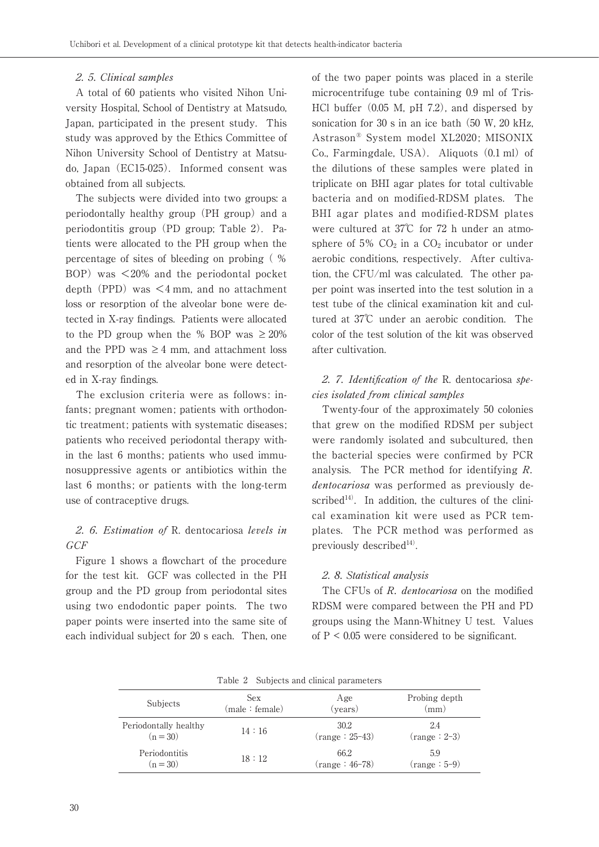### 2. 5. Clinical samples

 A total of 60 patients who visited Nihon University Hospital, School of Dentistry at Matsudo, Japan, participated in the present study. This study was approved by the Ethics Committee of Nihon University School of Dentistry at Matsudo, Japan (EC15-025). Informed consent was obtained from all subjects.

 The subjects were divided into two groups: a periodontally healthy group (PH group) and a periodontitis group (PD group; Table 2). Patients were allocated to the PH group when the percentage of sites of bleeding on probing ( % BOP) was  $\leq 20\%$  and the periodontal pocket depth (PPD) was  $\leq$ 4 mm, and no attachment loss or resorption of the alveolar bone were detected in X-ray findings. Patients were allocated to the PD group when the % BOP was  $\geq 20\%$ and the PPD was  $\geq 4$  mm, and attachment loss and resorption of the alveolar bone were detected in X-ray findings.

 The exclusion criteria were as follows: infants; pregnant women; patients with orthodontic treatment; patients with systematic diseases; patients who received periodontal therapy within the last 6 months; patients who used immunosuppressive agents or antibiotics within the last 6 months; or patients with the long-term use of contraceptive drugs.

# 2. 6. Estimation of R. dentocariosa levels in GCF

 Figure 1 shows a flowchart of the procedure for the test kit. GCF was collected in the PH group and the PD group from periodontal sites using two endodontic paper points. The two paper points were inserted into the same site of each individual subject for 20 s each. Then, one

of the two paper points was placed in a sterile microcentrifuge tube containing 0.9 ml of Tris-HCl buffer (0.05 M, pH 7.2), and dispersed by sonication for 30 s in an ice bath (50 W, 20 kHz, Astrason® System model XL2020; MISONIX Co., Farmingdale, USA). Aliquots (0.1 ml) of the dilutions of these samples were plated in triplicate on BHI agar plates for total cultivable bacteria and on modified-RDSM plates. The BHI agar plates and modified-RDSM plates were cultured at 37℃ for 72 h under an atmosphere of  $5\%$  CO<sub>2</sub> in a CO<sub>2</sub> incubator or under aerobic conditions, respectively. After cultivation, the CFU/ml was calculated. The other paper point was inserted into the test solution in a test tube of the clinical examination kit and cultured at 37℃ under an aerobic condition. The color of the test solution of the kit was observed after cultivation.

# 2. 7. Identification of the R. dentocariosa species isolated from clinical samples

 Twenty-four of the approximately 50 colonies that grew on the modified RDSM per subject were randomly isolated and subcultured, then the bacterial species were confirmed by PCR analysis. The PCR method for identifying R. dentocariosa was performed as previously described $14$ <sup>14</sup>. In addition, the cultures of the clinical examination kit were used as PCR templates. The PCR method was performed as previously described $14$ <sup>14)</sup>.

# 2. 8. Statistical analysis

The CFUs of R. dentocariosa on the modified RDSM were compared between the PH and PD groups using the Mann-Whitney U test. Values of  $P < 0.05$  were considered to be significant.

| I able 2 Dubjects and chineal parameters |                |                  |                |  |  |  |
|------------------------------------------|----------------|------------------|----------------|--|--|--|
| Subjects                                 | Sex            | Age              | Probing depth  |  |  |  |
|                                          | (male: female) | (years)          | $\rm (mm)$     |  |  |  |
| Periodontally healthy                    | 14:16          | 30.2             | 2.4            |  |  |  |
| $(n = 30)$                               |                | $(range: 25-43)$ | $(range: 2-3)$ |  |  |  |
| Periodontitis                            | 18:12          | 66.2             | 5.9            |  |  |  |
| $(n = 30)$                               |                | $(range:46-78)$  | $(range: 5-9)$ |  |  |  |

Table 2 Subjects and clinical parameters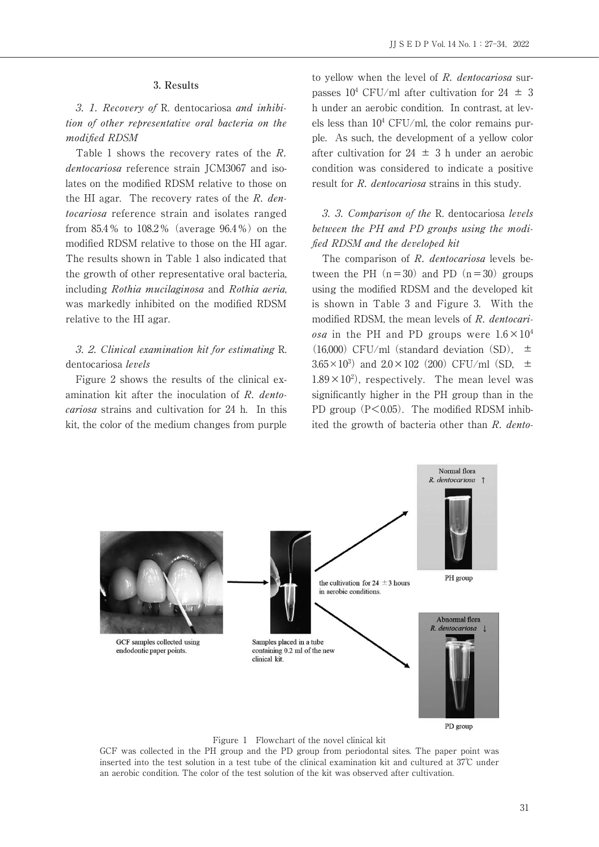### **3. Results**

 3. 1. Recovery of R. dentocariosa and inhibition of other representative oral bacteria on the modified RDSM

 Table 1 shows the recovery rates of the R. dentocariosa reference strain JCM3067 and isolates on the modified RDSM relative to those on the HI agar. The recovery rates of the R. dentocariosa reference strain and isolates ranged from 85.4% to 108.2% (average 96.4%) on the modified RDSM relative to those on the HI agar. The results shown in Table 1 also indicated that the growth of other representative oral bacteria, including Rothia mucilaginosa and Rothia aeria, was markedly inhibited on the modified RDSM relative to the HI agar.

## 3. 2. Clinical examination kit for estimating R. dentocariosa levels

 Figure 2 shows the results of the clinical examination kit after the inoculation of R. dentocariosa strains and cultivation for 24 h. In this kit, the color of the medium changes from purple to yellow when the level of R. dentocariosa surpasses  $10^4$  CFU/ml after cultivation for  $24 \pm 3$ h under an aerobic condition. In contrast, at levels less than  $10^4$  CFU/ml, the color remains purple. As such, the development of a yellow color after cultivation for  $24 \pm 3$  h under an aerobic condition was considered to indicate a positive result for R. dentocariosa strains in this study.

 3. 3. Comparison of the R. dentocariosa levels between the PH and PD groups using the modified RDSM and the developed kit

The comparison of R. dentocariosa levels between the PH  $(n=30)$  and PD  $(n=30)$  groups using the modified RDSM and the developed kit is shown in Table 3 and Figure 3. With the modified RDSM, the mean levels of R. dentocari*osa* in the PH and PD groups were  $1.6 \times 10^4$ (16,000) CFU/ml (standard deviation  $(SD)$ ,  $\pm$  $3.65 \times 10^3$  and  $2.0 \times 102$  (200) CFU/ml (SD,  $\pm$  $1.89 \times 10^2$ , respectively. The mean level was significantly higher in the PH group than in the PD group  $(P<0.05)$ . The modified RDSM inhibited the growth of bacteria other than R. dento-



Figure 1 Flowchart of the novel clinical kit

GCF was collected in the PH group and the PD group from periodontal sites. The paper point was inserted into the test solution in a test tube of the clinical examination kit and cultured at  $37^{\circ}$  under an aerobic condition. The color of the test solution of the kit was observed after cultivation.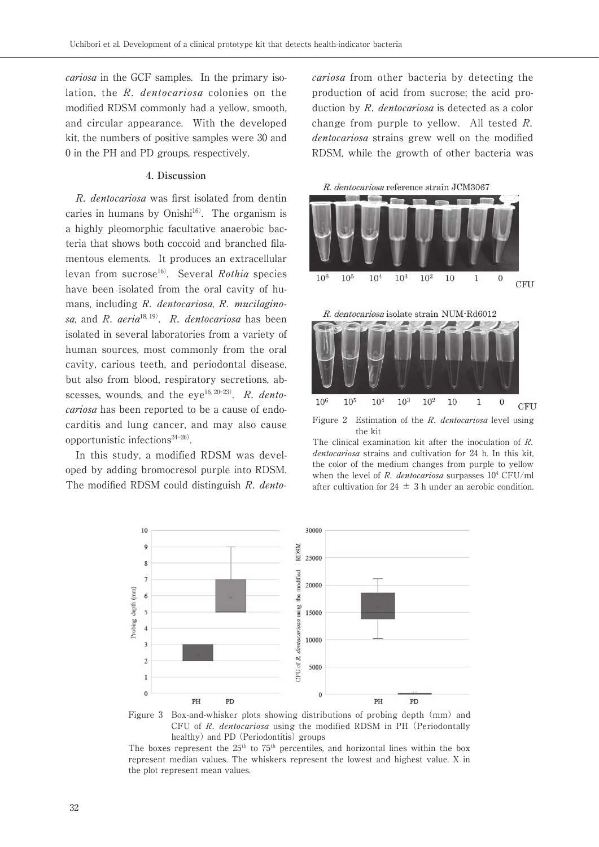cariosa in the GCF samples. In the primary isolation, the R. dentocariosa colonies on the modified RDSM commonly had a yellow, smooth, and circular appearance. With the developed kit, the numbers of positive samples were 30 and 0 in the PH and PD groups, respectively.

### **4. Discussion**

 R. dentocariosa was first isolated from dentin caries in humans by Onishi $16$ . The organism is a highly pleomorphic facultative anaerobic bacteria that shows both coccoid and branched filamentous elements. It produces an extracellular levan from sucrose<sup>16)</sup>. Several Rothia species have been isolated from the oral cavity of humans, including R. dentocariosa, R. mucilaginosa, and R.  $aeria^{18, 19}$ . R. dentocariosa has been isolated in several laboratories from a variety of human sources, most commonly from the oral cavity, carious teeth, and periodontal disease, but also from blood, respiratory secretions, abscesses, wounds, and the eye<sup>16, 20-23)</sup>. R. dentocariosa has been reported to be a cause of endocarditis and lung cancer, and may also cause opportunistic infections $24-26$ .

 In this study, a modified RDSM was developed by adding bromocresol purple into RDSM. The modified RDSM could distinguish R. dentocariosa from other bacteria by detecting the production of acid from sucrose; the acid production by R. *dentocariosa* is detected as a color change from purple to yellow. All tested R. dentocariosa strains grew well on the modified RDSM, while the growth of other bacteria was





Figure 2 Estimation of the R. dentocariosa level using the kit

The clinical examination kit after the inoculation of R. dentocariosa strains and cultivation for 24 h. In this kit, the color of the medium changes from purple to yellow when the level of R. dentocariosa surpasses  $10^4$  CFU/ml after cultivation for  $24 \pm 3$  h under an aerobic condition.



Figure 3 Box-and-whisker plots showing distributions of probing depth (mm) and CFU of R. dentocariosa using the modified RDSM in PH (Periodontally healthy) and PD (Periodontitis) groups

The boxes represent the  $25<sup>th</sup>$  to  $75<sup>th</sup>$  percentiles, and horizontal lines within the box represent median values. The whiskers represent the lowest and highest value. X in the plot represent mean values.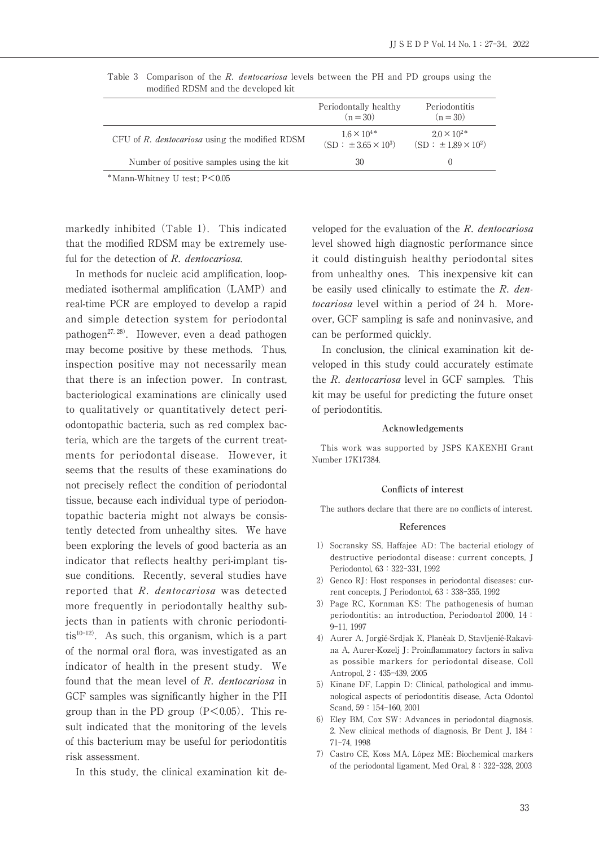| modified RDSM and the developed KIT                   |                                                       |                                                         |
|-------------------------------------------------------|-------------------------------------------------------|---------------------------------------------------------|
|                                                       | Periodontally healthy<br>$(n = 30)$                   | Periodontitis<br>$(n = 30)$                             |
| CFU of R, <i>dentocariosa</i> using the modified RDSM | $1.6 \times 10^{4*}$<br>$(SD : \pm 3.65 \times 10^3)$ | $2.0 \times 10^{2*}$<br>$(SD : \pm 1.89 \times 10^{2})$ |
| Number of positive samples using the kit.             | 30                                                    |                                                         |

Table 3 Comparison of the R. *dentocariosa* levels between the PH and PD groups using the modified RDSM and the developed kit

\*Mann-Whitney U test; P<0.05

markedly inhibited (Table 1). This indicated that the modified RDSM may be extremely useful for the detection of R. dentocariosa.

 In methods for nucleic acid amplification, loopmediated isothermal amplification (LAMP) and real-time PCR are employed to develop a rapid and simple detection system for periodontal pathogen<sup>27, 28)</sup>. However, even a dead pathogen may become positive by these methods. Thus, inspection positive may not necessarily mean that there is an infection power. In contrast, bacteriological examinations are clinically used to qualitatively or quantitatively detect periodontopathic bacteria, such as red complex bacteria, which are the targets of the current treatments for periodontal disease. However, it seems that the results of these examinations do not precisely reflect the condition of periodontal tissue, because each individual type of periodontopathic bacteria might not always be consistently detected from unhealthy sites. We have been exploring the levels of good bacteria as an indicator that reflects healthy peri-implant tissue conditions. Recently, several studies have reported that R. dentocariosa was detected more frequently in periodontally healthy subjects than in patients with chronic periodontitis $10^{-12}$ . As such, this organism, which is a part of the normal oral flora, was investigated as an indicator of health in the present study. We found that the mean level of R. dentocariosa in GCF samples was significantly higher in the PH group than in the PD group  $(P<0.05)$ . This result indicated that the monitoring of the levels of this bacterium may be useful for periodontitis risk assessment.

In this study, the clinical examination kit de-

veloped for the evaluation of the R. dentocariosa level showed high diagnostic performance since it could distinguish healthy periodontal sites from unhealthy ones. This inexpensive kit can be easily used clinically to estimate the  $R$ . dentocariosa level within a period of 24 h. Moreover, GCF sampling is safe and noninvasive, and can be performed quickly.

 In conclusion, the clinical examination kit developed in this study could accurately estimate the R. dentocariosa level in GCF samples. This kit may be useful for predicting the future onset of periodontitis.

### **Acknowledgements**

 This work was supported by JSPS KAKENHI Grant Number 17K17384.

#### **Conflicts of interest**

The authors declare that there are no conflicts of interest.

### **References**

- 1) Socransky SS, Haffajee AD: The bacterial etiology of destructive periodontal disease: current concepts, J Periodontol, 63:322-331, 1992
- 2) Genco RJ: Host responses in periodontal diseases: current concepts, J Periodontol, 63:338-355, 1992
- 3) Page RC, Kornman KS: The pathogenesis of human periodontitis: an introduction, Periodontol 2000, 14: 9-11, 1997
- 4) Aurer A, Jorgié-Srdjak K, Planèak D, Stavljenié-Rakavina A, Aurer-Kozelj J: Proinflammatory factors in saliva as possible markers for periodontal disease, Coll Antropol, 2:435-439, 2005
- 5) Kinane DF, Lappin D: Clinical, pathological and immunological aspects of periodontitis disease, Acta Odontol Scand, 59:154-160, 2001
- 6) Eley BM, Cox SW: Advances in periodontal diagnosis. 2. New clinical methods of diagnosis, Br Dent J, 184: 71-74, 1998
- 7) Castro CE, Koss MA, López ME: Biochemical markers of the periodontal ligament, Med Oral, 8:322-328, 2003